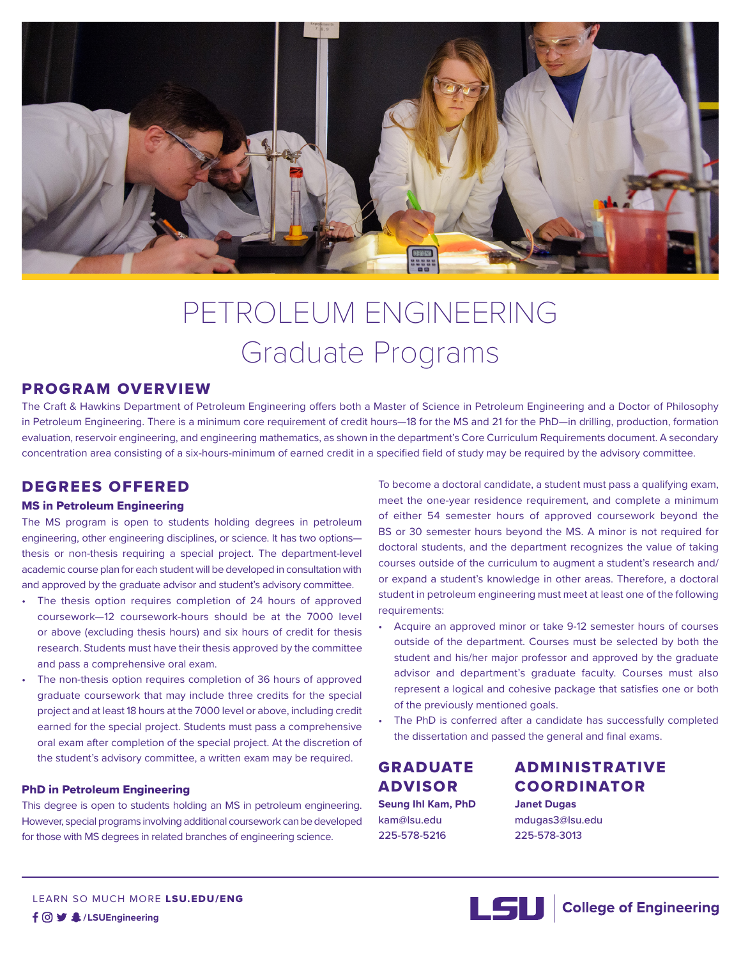

# PETROLEUM ENGINEERING Graduate Programs

### PROGRAM OVERVIEW

The Craft & Hawkins Department of Petroleum Engineering offers both a Master of Science in Petroleum Engineering and a Doctor of Philosophy in Petroleum Engineering. There is a minimum core requirement of credit hours—18 for the MS and 21 for the PhD—in drilling, production, formation evaluation, reservoir engineering, and engineering mathematics, as shown in the department's Core Curriculum Requirements document. A secondary concentration area consisting of a six-hours-minimum of earned credit in a specified field of study may be required by the advisory committee.

## DEGREES OFFERED

#### MS in Petroleum Engineering

The MS program is open to students holding degrees in petroleum engineering, other engineering disciplines, or science. It has two options thesis or non-thesis requiring a special project. The department-level academic course plan for each student will be developed in consultation with and approved by the graduate advisor and student's advisory committee.

- The thesis option requires completion of 24 hours of approved coursework—12 coursework-hours should be at the 7000 level or above (excluding thesis hours) and six hours of credit for thesis research. Students must have their thesis approved by the committee and pass a comprehensive oral exam.
- The non-thesis option requires completion of 36 hours of approved graduate coursework that may include three credits for the special project and at least 18 hours at the 7000 level or above, including credit earned for the special project. Students must pass a comprehensive oral exam after completion of the special project. At the discretion of the student's advisory committee, a written exam may be required.

#### PhD in Petroleum Engineering

This degree is open to students holding an MS in petroleum engineering. However, special programs involving additional coursework can be developed for those with MS degrees in related branches of engineering science.

To become a doctoral candidate, a student must pass a qualifying exam, meet the one-year residence requirement, and complete a minimum of either 54 semester hours of approved coursework beyond the BS or 30 semester hours beyond the MS. A minor is not required for doctoral students, and the department recognizes the value of taking courses outside of the curriculum to augment a student's research and/ or expand a student's knowledge in other areas. Therefore, a doctoral student in petroleum engineering must meet at least one of the following requirements:

- Acquire an approved minor or take 9-12 semester hours of courses outside of the department. Courses must be selected by both the student and his/her major professor and approved by the graduate advisor and department's graduate faculty. Courses must also represent a logical and cohesive package that satisfies one or both of the previously mentioned goals.
- The PhD is conferred after a candidate has successfully completed the dissertation and passed the general and final exams.

# GRADUATE ADVISOR

**Seung Ihl Kam, PhD** kam@lsu.edu 225-578-5216

# ADMINISTRATIVE COORDINATOR

**Janet Dugas** mdugas3@lsu.edu 225-578-3013